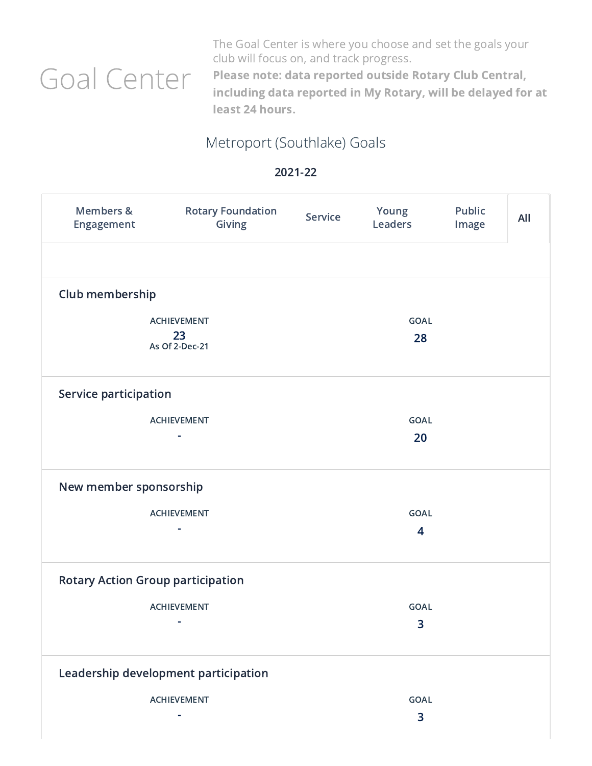## Goal Center

The Goal Center is where you choose and set the goals your club will focus on, and track progress.

Please note: data reported outside Rotary Club Central, including data reported in My Rotary, will be delayed for at least 24 hours.

## Metroport (Southlake) Goals

| Members &<br>Engagement                    | <b>Rotary Foundation</b><br><b>Giving</b> | <b>Service</b> | Young<br><b>Leaders</b>                | <b>Public</b><br>Image | All |
|--------------------------------------------|-------------------------------------------|----------------|----------------------------------------|------------------------|-----|
| Club membership                            |                                           |                |                                        |                        |     |
| <b>ACHIEVEMENT</b><br>23<br>As Of 2-Dec-21 |                                           |                | <b>GOAL</b><br>28                      |                        |     |
| Service participation                      |                                           |                |                                        |                        |     |
|                                            | <b>ACHIEVEMENT</b><br>۰                   |                | <b>GOAL</b><br>20                      |                        |     |
| New member sponsorship                     |                                           |                |                                        |                        |     |
|                                            | <b>ACHIEVEMENT</b><br>۰                   |                | <b>GOAL</b><br>$\overline{\mathbf{4}}$ |                        |     |
|                                            | <b>Rotary Action Group participation</b>  |                |                                        |                        |     |
|                                            | <b>ACHIEVEMENT</b>                        |                | <b>GOAL</b><br>3                       |                        |     |
|                                            | Leadership development participation      |                |                                        |                        |     |
|                                            | <b>ACHIEVEMENT</b>                        |                | <b>GOAL</b>                            |                        |     |
|                                            |                                           |                | 3                                      |                        |     |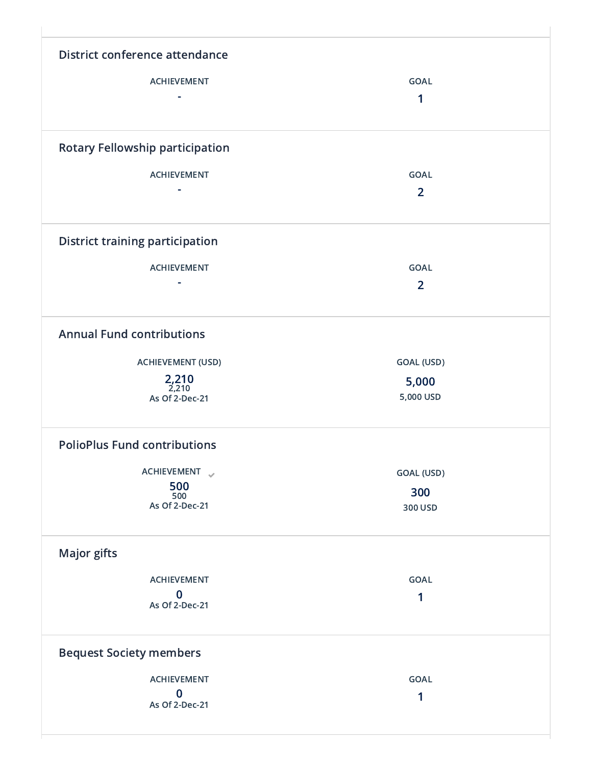| District conference attendance         |                  |
|----------------------------------------|------------------|
| <b>ACHIEVEMENT</b>                     | <b>GOAL</b>      |
|                                        |                  |
|                                        | 1                |
| <b>Rotary Fellowship participation</b> |                  |
| <b>ACHIEVEMENT</b>                     | <b>GOAL</b>      |
|                                        | $\overline{2}$   |
|                                        |                  |
| <b>District training participation</b> |                  |
| <b>ACHIEVEMENT</b>                     | <b>GOAL</b>      |
|                                        | $\overline{2}$   |
|                                        |                  |
| <b>Annual Fund contributions</b>       |                  |
| <b>ACHIEVEMENT (USD)</b>               | GOAL (USD)       |
| 2,210                                  | 5,000            |
| 2,210<br>As Of 2-Dec-21                | 5,000 USD        |
| <b>PolioPlus Fund contributions</b>    |                  |
| ACHIEVEMENT                            | GOAL (USD)       |
| 500                                    | 300              |
| 500<br>As Of 2-Dec-21                  | 300 USD          |
|                                        |                  |
| <b>Major gifts</b>                     |                  |
| <b>ACHIEVEMENT</b>                     | GOAL             |
| $\bf{0}$                               | 1                |
| As Of 2-Dec-21                         |                  |
| <b>Bequest Society members</b>         |                  |
|                                        |                  |
|                                        |                  |
| <b>ACHIEVEMENT</b><br>$\bf{0}$         | <b>GOAL</b><br>1 |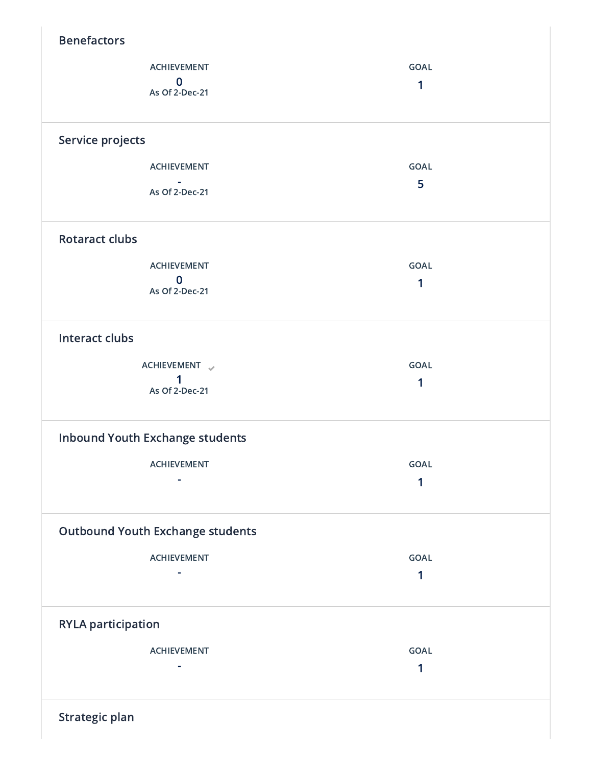| <b>Benefactors</b>                      |             |
|-----------------------------------------|-------------|
| <b>ACHIEVEMENT</b>                      | GOAL        |
| $\bf{0}$<br>As Of 2-Dec-21              | 1           |
|                                         |             |
| Service projects                        |             |
| <b>ACHIEVEMENT</b>                      | <b>GOAL</b> |
| As Of 2-Dec-21                          | 5           |
| <b>Rotaract clubs</b>                   |             |
| <b>ACHIEVEMENT</b>                      | <b>GOAL</b> |
| $\mathbf{0}$                            | 1           |
| As Of 2-Dec-21                          |             |
| <b>Interact clubs</b>                   |             |
| ACHIEVEMENT                             | <b>GOAL</b> |
| 1<br>As Of 2-Dec-21                     | 1           |
|                                         |             |
| <b>Inbound Youth Exchange students</b>  |             |
| ACHIEVEMENT                             | GOAL        |
|                                         | 1           |
| <b>Outbound Youth Exchange students</b> |             |
| <b>ACHIEVEMENT</b>                      | GOAL        |
|                                         | 1           |
| <b>RYLA participation</b>               |             |
| <b>ACHIEVEMENT</b>                      | GOAL        |
|                                         | 1           |
| Strategic plan                          |             |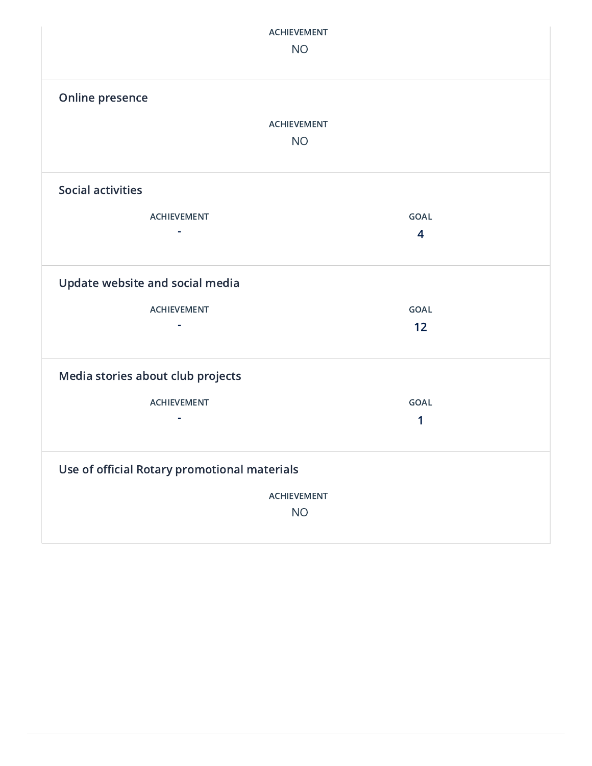| <b>ACHIEVEMENT</b><br><b>NO</b>              |                |  |  |  |  |  |
|----------------------------------------------|----------------|--|--|--|--|--|
| Online presence                              |                |  |  |  |  |  |
| <b>ACHIEVEMENT</b>                           |                |  |  |  |  |  |
| <b>NO</b>                                    |                |  |  |  |  |  |
|                                              |                |  |  |  |  |  |
| <b>Social activities</b>                     |                |  |  |  |  |  |
| <b>ACHIEVEMENT</b>                           | <b>GOAL</b>    |  |  |  |  |  |
| $\sim$                                       | $\overline{4}$ |  |  |  |  |  |
|                                              |                |  |  |  |  |  |
| Update website and social media              |                |  |  |  |  |  |
| <b>ACHIEVEMENT</b>                           | <b>GOAL</b>    |  |  |  |  |  |
|                                              | 12             |  |  |  |  |  |
|                                              |                |  |  |  |  |  |
| Media stories about club projects            |                |  |  |  |  |  |
| <b>ACHIEVEMENT</b>                           | <b>GOAL</b>    |  |  |  |  |  |
|                                              | 1              |  |  |  |  |  |
|                                              |                |  |  |  |  |  |
| Use of official Rotary promotional materials |                |  |  |  |  |  |
| <b>ACHIEVEMENT</b>                           |                |  |  |  |  |  |
| <b>NO</b>                                    |                |  |  |  |  |  |
|                                              |                |  |  |  |  |  |